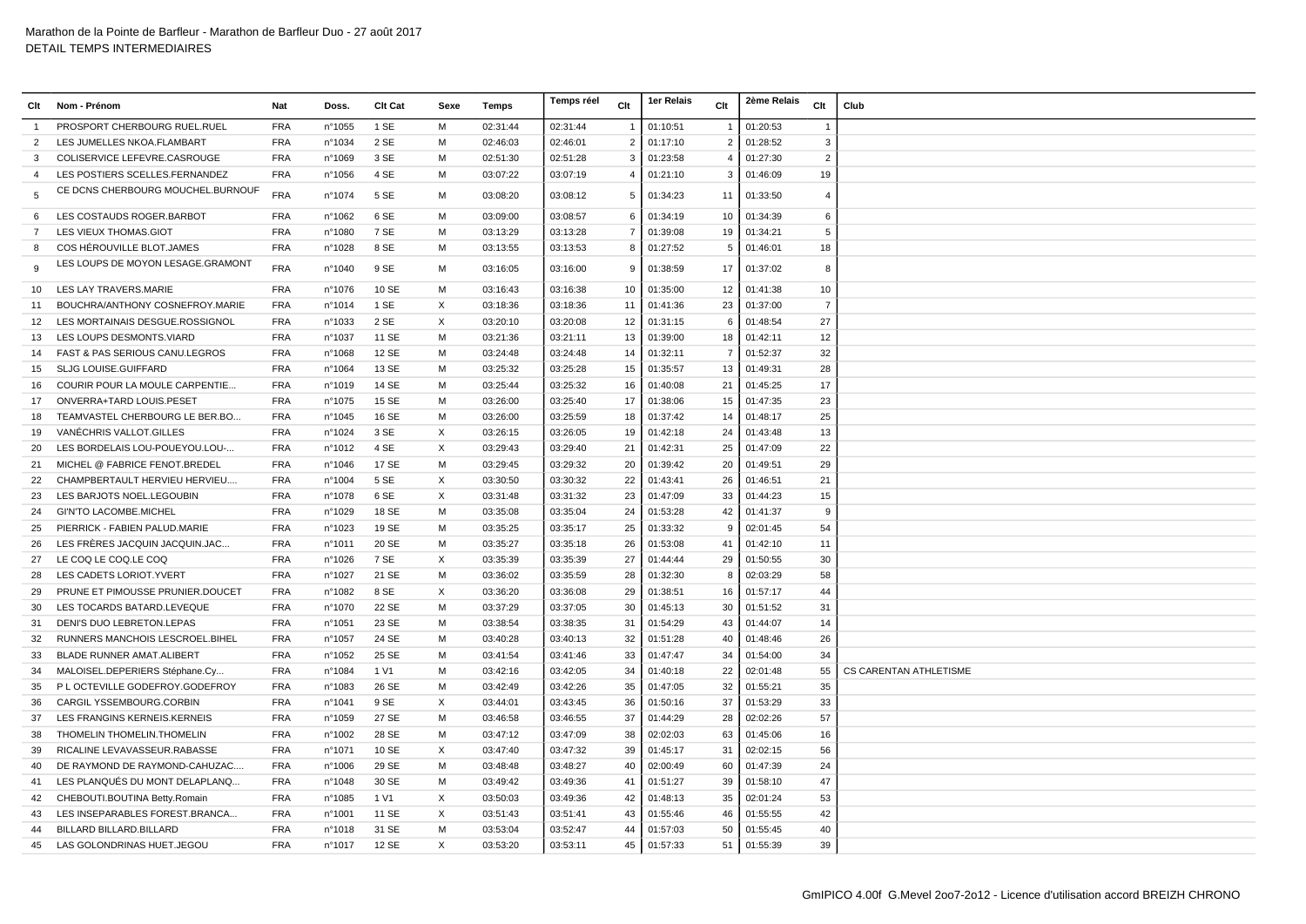| Clt               | Nom - Prénom                      | Nat        | Doss.  | <b>Clt Cat</b> | Sexe     | Temps    | Temps réel | Clt            | 1er Relais | Clt            | 2ème Relais<br>Clt         | Club                          |
|-------------------|-----------------------------------|------------|--------|----------------|----------|----------|------------|----------------|------------|----------------|----------------------------|-------------------------------|
| $\overline{1}$    | PROSPORT CHERBOURG RUEL.RUEL      | <b>FRA</b> | n°1055 | 1 SE           | M        | 02:31:44 | 02:31:44   |                | 01:10:51   |                | 01:20:53                   |                               |
| $\overline{2}$    | LES JUMELLES NKOA.FLAMBART        | <b>FRA</b> | n°1034 | 2 SE           | M        | 02:46:03 | 02:46:01   | $\overline{2}$ | 01:17:10   | $\overline{2}$ | 01:28:52<br>3              |                               |
| 3                 | COLISERVICE LEFEVRE.CASROUGE      | <b>FRA</b> | n°1069 | 3 SE           | M        | 02:51:30 | 02:51:28   | 3              | 01:23:58   | $\overline{4}$ | 01:27:30<br>$\overline{2}$ |                               |
| $\overline{4}$    | LES POSTIERS SCELLES.FERNANDEZ    | <b>FRA</b> | n°1056 | 4 SE           | M        | 03:07:22 | 03:07:19   | 4              | 01:21:10   | 3              | 01:46:09<br>19             |                               |
| 5                 | CE DCNS CHERBOURG MOUCHEL.BURNOUF | <b>FRA</b> | n°1074 | 5 SE           | м        | 03:08:20 | 03:08:12   | 5              | 01:34:23   | 11             | 01:33:50<br>$\overline{4}$ |                               |
| 6                 | LES COSTAUDS ROGER.BARBOT         | <b>FRA</b> | n°1062 | 6 SE           | м        | 03:09:00 | 03:08:57   | 6              | 01:34:19   | 10             | 01:34:39<br>6              |                               |
| $\overline{7}$    | LES VIEUX THOMAS.GIOT             | <b>FRA</b> | n°1080 | 7 SE           | M        | 03:13:29 | 03:13:28   | $\overline{7}$ | 01:39:08   | 19             | 01:34:21<br>5              |                               |
| 8                 | COS HÉROUVILLE BLOT.JAMES         | <b>FRA</b> | n°1028 | 8 SE           | M        | 03:13:55 | 03:13:53   | 8              | 01:27:52   | 5              | 01:46:01<br>18             |                               |
| -9                | LES LOUPS DE MOYON LESAGE.GRAMONT | <b>FRA</b> | nº1040 | 9 SE           | М        | 03:16:05 | 03:16:00   | 9              | 01:38:59   | 17             | 01:37:02<br>8              |                               |
| 10                | LES LAY TRAVERS.MARIE             | <b>FRA</b> | n°1076 | 10 SE          | M        | 03:16:43 | 03:16:38   | 10             | 01:35:00   | 12             | 01:41:38<br>10             |                               |
| 11                | BOUCHRA/ANTHONY COSNEFROY.MARIE   | <b>FRA</b> | n°1014 | 1 SE           | X        | 03:18:36 | 03:18:36   | 11             | 01:41:36   | 23             | $\overline{7}$<br>01:37:00 |                               |
| $12 \overline{ }$ | LES MORTAINAIS DESGUE.ROSSIGNOL   | <b>FRA</b> | n°1033 | 2 SE           | $\times$ | 03:20:10 | 03:20:08   | 12             | 01:31:15   | 6              | 01:48:54<br>27             |                               |
| 13                | LES LOUPS DESMONTS. VIARD         | <b>FRA</b> | n°1037 | 11 SE          | M        | 03:21:36 | 03:21:11   | 13             | 01:39:00   | 18             | 01:42:11<br>12             |                               |
| 14                | FAST & PAS SERIOUS CANU.LEGROS    | <b>FRA</b> | n°1068 | 12 SE          | M        | 03:24:48 | 03:24:48   | 14             | 01:32:11   | $\overline{7}$ | 01:52:37<br>32             |                               |
| 15                | SLJG LOUISE.GUIFFARD              | <b>FRA</b> | n°1064 | 13 SE          | м        | 03:25:32 | 03:25:28   | 15             | 01:35:57   | 13             | 01:49:31<br>28             |                               |
| 16                | COURIR POUR LA MOULE CARPENTIE    | <b>FRA</b> | n°1019 | 14 SE          | M        | 03:25:44 | 03:25:32   | 16             | 01:40:08   | 21             | 17<br>01:45:25             |                               |
| 17                | ONVERRA+TARD LOUIS.PESET          | <b>FRA</b> | n°1075 | <b>15 SE</b>   | м        | 03:26:00 | 03:25:40   | 17             | 01:38:06   | 15             | 01:47:35<br>23             |                               |
| 18                | TEAMVASTEL CHERBOURG LE BER.BO    | <b>FRA</b> | n°1045 | 16 SE          | M        | 03:26:00 | 03:25:59   | 18             | 01:37:42   | 14             | 25<br>01:48:17             |                               |
| 19                | VANÉCHRIS VALLOT.GILLES           | <b>FRA</b> | n°1024 | 3 SE           | X        | 03:26:15 | 03:26:05   | 19             | 01:42:18   | 24             | 01:43:48<br>13             |                               |
| 20                | LES BORDELAIS LOU-POUEYOU.LOU-    | <b>FRA</b> | nº1012 | 4 SE           | X        | 03:29:43 | 03:29:40   | 21             | 01:42:31   | 25             | 22<br>01:47:09             |                               |
| 21                | MICHEL @ FABRICE FENOT.BREDEL     | <b>FRA</b> | n°1046 | 17 SE          | м        | 03:29:45 | 03:29:32   | 20             | 01:39:42   | 20             | 29<br>01:49:51             |                               |
| 22                | CHAMPBERTAULT HERVIEU HERVIEU     | <b>FRA</b> | n°1004 | 5 SE           | X        | 03:30:50 | 03:30:32   | 22             | 01:43:41   | 26             | 01:46:51<br>21             |                               |
| 23                | LES BARJOTS NOEL.LEGOUBIN         | <b>FRA</b> | n°1078 | 6 SE           | X        | 03:31:48 | 03:31:32   | 23             | 01:47:09   | 33             | 01:44:23<br>15             |                               |
| 24                | <b>GI'N'TO LACOMBE MICHEL</b>     | <b>FRA</b> | n°1029 | 18 SE          | M        | 03:35:08 | 03:35:04   | 24             | 01:53:28   | 42             | 01:41:37<br>9              |                               |
| 25                | PIERRICK - FABIEN PALUD.MARIE     | <b>FRA</b> | n°1023 | 19 SE          | м        | 03:35:25 | 03:35:17   | 25             | 01:33:32   | 9              | 02:01:45<br>54             |                               |
| 26                | LES FRÈRES JACQUIN JACQUIN.JAC    | <b>FRA</b> | n°1011 | 20 SE          | M        | 03:35:27 | 03:35:18   | 26             | 01:53:08   | 41             | 01:42:10<br>11             |                               |
| 27                | LE COQ LE COQ.LE COQ              | <b>FRA</b> | n°1026 | 7 SE           | X        | 03:35:39 | 03:35:39   | 27             | 01:44:44   | 29             | 01:50:55<br>30             |                               |
| 28                | LES CADETS LORIOT. YVERT          | <b>FRA</b> | n°1027 | 21 SE          | M        | 03:36:02 | 03:35:59   | 28             | 01:32:30   | 8              | 02:03:29<br>58             |                               |
| 29                | PRUNE ET PIMOUSSE PRUNIER.DOUCET  | <b>FRA</b> | n°1082 | 8 SE           | X        | 03:36:20 | 03:36:08   | 29             | 01:38:51   | 16             | 01:57:17<br>44             |                               |
| 30                | LES TOCARDS BATARD.LEVEQUE        | <b>FRA</b> | n°1070 | 22 SE          | M        | 03:37:29 | 03:37:05   | 30             | 01:45:13   | 30             | 01:51:52<br>31             |                               |
| 31                | DENI'S DUO LEBRETON.LEPAS         | <b>FRA</b> | n°1051 | 23 SE          | м        | 03:38:54 | 03:38:35   | 31             | 01:54:29   | 43             | 01:44:07<br>14             |                               |
| 32                | RUNNERS MANCHOIS LESCROEL.BIHEL   | <b>FRA</b> | n°1057 | 24 SE          | M        | 03:40:28 | 03:40:13   | 32             | 01:51:28   | 40             | 01:48:46<br>26             |                               |
| 33                | BLADE RUNNER AMAT.ALIBERT         | <b>FRA</b> | n°1052 | 25 SE          | M        | 03:41:54 | 03:41:46   | 33             | 01:47:47   | 34             | 01:54:00<br>34             |                               |
| 34                | MALOISEL.DEPERIERS Stéphane.Cy    | <b>FRA</b> | n°1084 | 1 V1           | M        | 03:42:16 | 03:42:05   | 34             | 01:40:18   | 22             | 02:01:48<br>55             | <b>CS CARENTAN ATHLETISME</b> |
| 35                | P L OCTEVILLE GODEFROY.GODEFROY   | <b>FRA</b> | n°1083 | 26 SE          | м        | 03:42:49 | 03:42:26   | 35             | 01:47:05   | 32             | 35<br>01:55:21             |                               |
| 36                | CARGIL YSSEMBOURG.CORBIN          | <b>FRA</b> | n°1041 | 9 SE           | X        | 03:44:01 | 03:43:45   | 36             | 01:50:16   | 37             | 33<br>01:53:29             |                               |
| 37                | LES FRANGINS KERNEIS.KERNEIS      | <b>FRA</b> | n°1059 | 27 SE          | м        | 03:46:58 | 03:46:55   | 37             | 01:44:29   | 28             | 57<br>02:02:26             |                               |
| 38                | THOMELIN THOMELIN. THOMELIN       | <b>FRA</b> | n°1002 | 28 SE          | M        | 03:47:12 | 03:47:09   | 38             | 02:02:03   | 63             | 01:45:06<br>16             |                               |
| 39                | RICALINE LEVAVASSEUR.RABASSE      | <b>FRA</b> | n°1071 | 10 SE          | X        | 03:47:40 | 03:47:32   | 39             | 01:45:17   | 31             | 02:02:15<br>56             |                               |
| 40                | DE RAYMOND DE RAYMOND-CAHUZAC     | <b>FRA</b> | n°1006 | 29 SE          | м        | 03:48:48 | 03:48:27   | 40             | 02:00:49   | 60             | 01:47:39<br>24             |                               |
| 41                | LES PLANQUÉS DU MONT DELAPLANQ    | <b>FRA</b> | n°1048 | 30 SE          | м        | 03:49:42 | 03:49:36   | 41             | 01:51:27   | 39             | 47<br>01:58:10             |                               |
| 42                | CHEBOUTI.BOUTINA Betty.Romain     | <b>FRA</b> | n°1085 | 1 V1           | X        | 03:50:03 | 03:49:36   | 42             | 01:48:13   | 35             | 02:01:24<br>53             |                               |
| 43                | LES INSEPARABLES FOREST.BRANCA    | <b>FRA</b> | n°1001 | 11 SE          | X        | 03:51:43 | 03:51:41   | 43             | 01:55:46   | 46             | 01:55:55<br>42             |                               |
| 44                | <b>BILLARD BILLARD.BILLARD</b>    | <b>FRA</b> | n°1018 | 31 SE          | M        | 03:53:04 | 03:52:47   | 44             | 01:57:03   | 50             | 01:55:45<br>40             |                               |
| 45                | LAS GOLONDRINAS HUET.JEGOU        | <b>FRA</b> | nº1017 | 12 SE          | X        | 03:53:20 | 03:53:11   | 45             | 01:57:33   |                | 51 01:55:39<br>39          |                               |
|                   |                                   |            |        |                |          |          |            |                |            |                |                            |                               |